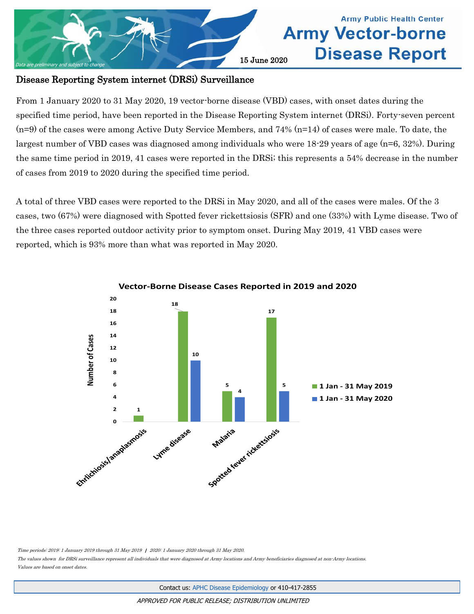

## **Army Public Health Center Army Vector-borne Disease Report**

### Disease Reporting System internet (DRSi) Surveillance

From 1 January 2020 to 31 May 2020, 19 vector-borne disease (VBD) cases, with onset dates during the specified time period, have been reported in the Disease Reporting System internet (DRSi). Forty-seven percent (n=9) of the cases were among Active Duty Service Members, and 74% (n=14) of cases were male. To date, the largest number of VBD cases was diagnosed among individuals who were 18-29 years of age (n=6, 32%). During the same time period in 2019, 41 cases were reported in the DRSi; this represents a 54% decrease in the number of cases from 2019 to 2020 during the specified time period.

A total of three VBD cases were reported to the DRSi in May 2020, and all of the cases were males. Of the 3 cases, two (67%) were diagnosed with Spotted fever rickettsiosis (SFR) and one (33%) with Lyme disease. Two of the three cases reported outdoor activity prior to symptom onset. During May 2019, 41 VBD cases were reported, which is 93% more than what was reported in May 2020.



**Vector-Borne Disease Cases Reported in 2019 and 2020**

Time periods: 2019: 1 January 2019 through 31 May 2019 | 2020: 1 January 2020 through 31 May 2020.

The values shown for DRSi surveillance represent all individuals that were diagnosed at Army locations and Army beneficiaries diagnosed at non-Army locations. Values are based on onset dates.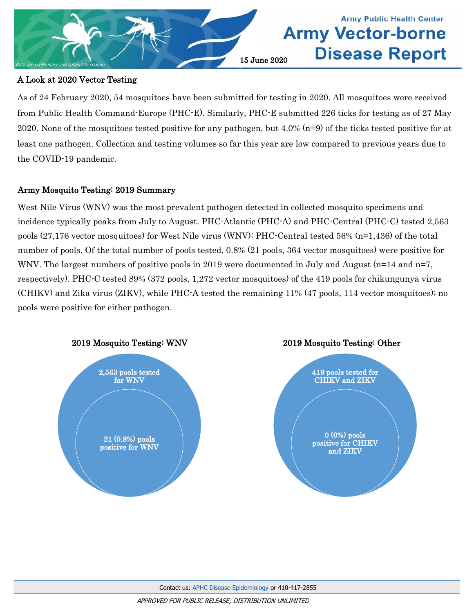

### A Look at 2020 Vector Testing

As of 24 February 2020, 54 mosquitoes have been submitted for testing in 2020. All mosquitoes were received from Public Health Command-Europe (PHC-E). Similarly, PHC-E submitted 226 ticks for testing as of 27 May 2020. None of the mosquitoes tested positive for any pathogen, but 4.0% (n=9) of the ticks tested positive for at least one pathogen. Collection and testing volumes so far this year are low compared to previous years due to the COVID-19 pandemic.

**Army Public Health Center** 

**Disease Report** 

**Army Vector-borne** 

### Army Mosquito Testing: 2019 Summary

West Nile Virus (WNV) was the most prevalent pathogen detected in collected mosquito specimens and incidence typically peaks from July to August. PHC-Atlantic (PHC-A) and PHC-Central (PHC-C) tested 2,563 pools (27,176 vector mosquitoes) for West Nile virus (WNV); PHC-Central tested 56% (n=1,436) of the total number of pools. Of the total number of pools tested, 0.8% (21 pools, 364 vector mosquitoes) were positive for WNV. The largest numbers of positive pools in 2019 were documented in July and August (n=14 and n=7, respectively). PHC-C tested 89% (372 pools, 1,272 vector mosquitoes) of the 419 pools for chikungunya virus (CHIKV) and Zika virus (ZIKV), while PHC-A tested the remaining 11% (47 pools, 114 vector mosquitoes); no pools were positive for either pathogen.



Contact us: [APHC Disease Epidemiology](mailto:usarmy.apg.medcom-phc.mbx.disease-epidemiologyprogram13@mail.mil?subject=Vector-borne%20Disease%20Report) or 410-417-2855

APPROVED FOR PUBLIC RELEASE; DISTRIBUTION UNLIMITED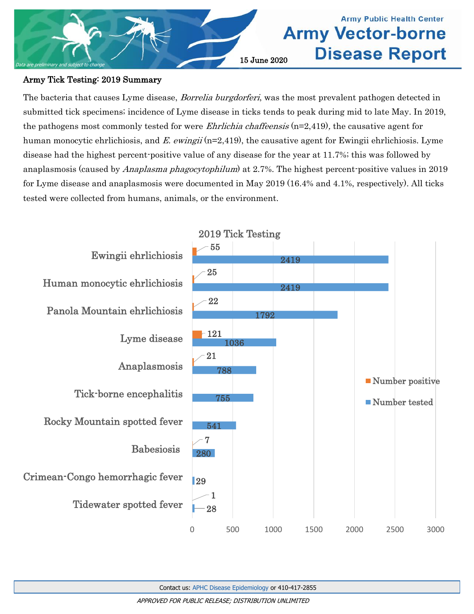

# **Army Public Health Center Army Vector-borne Disease Report**

### Army Tick Testing: 2019 Summary

The bacteria that causes Lyme disease, *Borrelia burgdorferi*, was the most prevalent pathogen detected in submitted tick specimens; incidence of Lyme disease in ticks tends to peak during mid to late May. In 2019, the pathogens most commonly tested for were *Ehrlichia chaffeensis*  $(n=2,419)$ , the causative agent for human monocytic ehrlichiosis, and E. ewingii ( $n=2,419$ ), the causative agent for Ewingii ehrlichiosis. Lyme disease had the highest percent-positive value of any disease for the year at 11.7%; this was followed by anaplasmosis (caused by Anaplasma phagocytophilum) at 2.7%. The highest percent-positive values in 2019 for Lyme disease and anaplasmosis were documented in May 2019 (16.4% and 4.1%, respectively). All ticks tested were collected from humans, animals, or the environment.